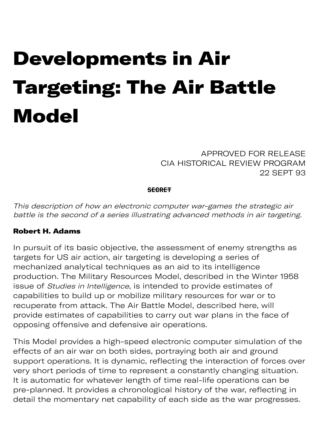# Developments in Air Targeting: The Air Battle **Model**

APPROVED FOR RELEASE CIA HISTORICAL REVIEW PROGRAM 22 SEPT 93

#### **SECRET**

This description of how an electronic computer war-games the strategic air battle is the second of a series illustrating advanced methods in air targeting.

#### Robert H. Adams

In pursuit of its basic objective, the assessment of enemy strengths as targets for US air action, air targeting is developing a series of mechanized analytical techniques as an aid to its intelligence production. The Military Resources Model, described in the Winter 1958 issue of Studies in Intelligence, is intended to provide estimates of capabilities to build up or mobilize military resources for war or to recuperate from attack. The Air Battle Model, described here, will provide estimates of capabilities to carry out war plans in the face of opposing offensive and defensive air operations.

This Model provides a high-speed electronic computer simulation of the effects of an air war on both sides, portraying both air and ground support operations. It is dynamic, reflecting the interaction of forces over very short periods of time to represent a constantly changing situation. It is automatic for whatever length of time real-life operations can be pre-planned. It provides a chronological history of the war, reflecting in detail the momentary net capability of each side as the war progresses.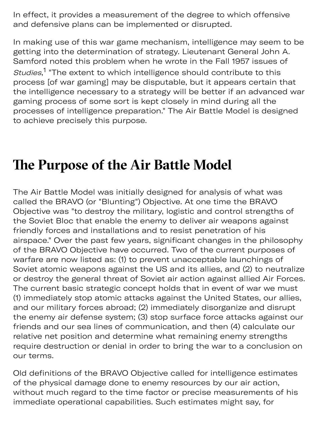In effect, it provides a measurement of the degree to which offensive and defensive plans can be implemented or disrupted.

In making use of this war game mechanism, intelligence may seem to be getting into the determination of strategy. Lieutenant General John A. Samford noted this problem when he wrote in the Fall 1957 issues of Studies,<sup>1</sup> "The extent to which intelligence should contribute to this process [of war gaming] may be disputable, but it appears certain that the intelligence necessary to a strategy will be better if an advanced war gaming process of some sort is kept closely in mind during all the processes of intelligence preparation." The Air Battle Model is designed to achieve precisely this purpose.

## **The Purpose of the Air Battle Model**

The Air Battle Model was initially designed for analysis of what was called the BRAVO (or "Blunting") Objective. At one time the BRAVO Objective was "to destroy the military, logistic and control strengths of the Soviet Bloc that enable the enemy to deliver air weapons against friendly forces and installations and to resist penetration of his airspace." Over the past few years, significant changes in the philosophy of the BRAVO Objective have occurred. Two of the current purposes of warfare are now listed as: (1) to prevent unacceptable launchings of Soviet atomic weapons against the US and its allies, and (2) to neutralize or destroy the general threat of Soviet air action against allied Air Forces. The current basic strategic concept holds that in event of war we must (1) immediately stop atomic attacks against the United States, our allies, and our military forces abroad; (2) immediately disorganize and disrupt the enemy air defense system; (3) stop surface force attacks against our friends and our sea lines of communication, and then (4) calculate our relative net position and determine what remaining enemy strengths require destruction or denial in order to bring the war to a conclusion on our terms.

Old definitions of the BRAVO Objective called for intelligence estimates of the physical damage done to enemy resources by our air action, without much regard to the time factor or precise measurements of his immediate operational capabilities. Such estimates might say, for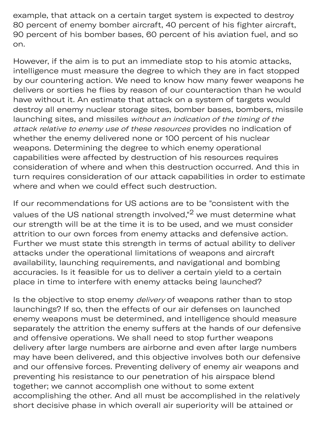example, that attack on a certain target system is expected to destroy 80 percent of enemy bomber aircraft, 40 percent of his fighter aircraft, 90 percent of his bomber bases, 60 percent of his aviation fuel, and so on.

e op p s migh y

However, if the aim is to put an immediate stop to his atomic attacks, intelligence must measure the degree to which they are in fact stopped by our countering action. We need to know how many fewer weapons he delivers or sorties he flies by reason of our counteraction than he would have without it. An estimate that attack on a system of targets would destroy all enemy nuclear storage sites, bomber bases, bombers, missile launching sites, and missiles without an indication of the timing of the attack relative to enemy use of these resources provides no indication of whether the enemy delivered none or 100 percent of his nuclear weapons. Determining the degree to which enemy operational capabilities were affected by destruction of his resources requires consideration of where and when this destruction occurred. And this in turn requires consideration of our attack capabilities in order to estimate where and when we could effect such destruction.

If our recommendations for US actions are to be "consistent with the values of the US national strength involved," $2$  we must determine what our strength will be at the time it is to be used, and we must consider attrition to our own forces from enemy attacks and defensive action. Further we must state this strength in terms of actual ability to deliver attacks under the operational limitations of weapons and aircraft availability, launching requirements, and navigational and bombing accuracies. Is it feasible for us to deliver a certain yield to a certain place in time to interfere with enemy attacks being launched?

Is the objective to stop enemy *delivery* of weapons rather than to stop launchings? If so, then the effects of our air defenses on launched enemy weapons must be determined, and intelligence should measure separately the attrition the enemy suffers at the hands of our defensive and offensive operations. We shall need to stop further weapons delivery after large numbers are airborne and even after large numbers may have been delivered, and this objective involves both our defensive and our offensive forces. Preventing delivery of enemy air weapons and preventing his resistance to our penetration of his airspace blend together; we cannot accomplish one without to some extent accomplishing the other. And all must be accomplished in the relatively short decisive phase in which overall air superiority will be attained or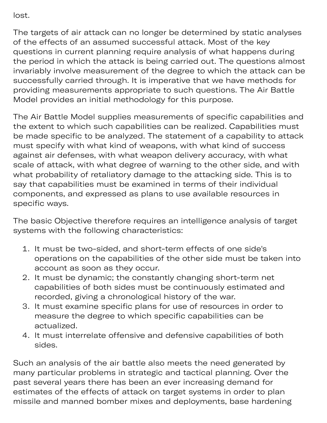lost.

The targets of air attack can no longer be determined by static analyses of the effects of an assumed successful attack. Most of the key questions in current planning require analysis of what happens during the period in which the attack is being carried out. The questions almost invariably involve measurement of the degree to which the attack can be successfully carried through. It is imperative that we have methods for providing measurements appropriate to such questions. The Air Battle Model provides an initial methodology for this purpose.

e phas all air sup y will b

The Air Battle Model supplies measurements of specific capabilities and the extent to which such capabilities can be realized. Capabilities must be made specific to be analyzed. The statement of a capability to attack must specify with what kind of weapons, with what kind of success against air defenses, with what weapon delivery accuracy, with what scale of attack, with what degree of warning to the other side, and with what probability of retaliatory damage to the attacking side. This is to say that capabilities must be examined in terms of their individual components, and expressed as plans to use available resources in specific ways.

The basic Objective therefore requires an intelligence analysis of target systems with the following characteristics:

- 1. It must be two-sided, and short-term effects of one side's operations on the capabilities of the other side must be taken into account as soon as they occur.
- 2. It must be dynamic; the constantly changing short-term net capabilities of both sides must be continuously estimated and recorded, giving a chronological history of the war.
- 3. It must examine specific plans for use of resources in order to measure the degree to which specific capabilities can be actualized.
- 4. It must interrelate offensive and defensive capabilities of both sides.

Such an analysis of the air battle also meets the need generated by many particular problems in strategic and tactical planning. Over the past several years there has been an ever increasing demand for estimates of the effects of attack on target systems in order to plan missile and manned bomber mixes and deployments, base hardening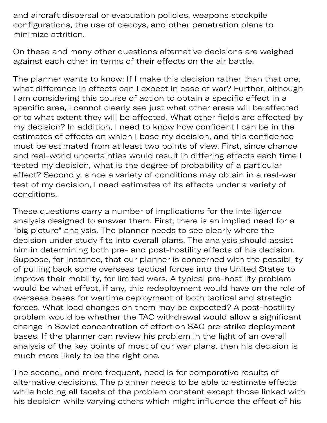and aircraft dispersal or evacuation policies, weapons stockpile configurations, the use of decoys, and other penetration plans to minimize attrition.

On these and many other questions alternative decisions are weighed against each other in terms of their effects on the air battle.

d deploym dening

The planner wants to know: If I make this decision rather than that one, what difference in effects can I expect in case of war? Further, although I am considering this course of action to obtain a specific effect in a specific area, I cannot clearly see just what other areas will be affected or to what extent they will be affected. What other fields are affected by my decision? In addition, I need to know how confident I can be in the estimates of effects on which I base my decision, and this confidence must be estimated from at least two points of view. First, since chance and real-world uncertainties would result in differing effects each time I tested my decision, what is the degree of probability of a particular effect? Secondly, since a variety of conditions may obtain in a real-war test of my decision, I need estimates of its effects under a variety of conditions.

These questions carry a number of implications for the intelligence analysis designed to answer them. First, there is an implied need for a "big picture" analysis. The planner needs to see clearly where the decision under study fits into overall plans. The analysis should assist him in determining both pre- and post-hostility effects of his decision. Suppose, for instance, that our planner is concerned with the possibility of pulling back some overseas tactical forces into the United States to improve their mobility, for limited wars. A typical pre-hostility problem would be what effect, if any, this redeployment would have on the role of overseas bases for wartime deployment of both tactical and strategic forces. What load changes on them may be expected? A post-hostility problem would be whether the TAC withdrawal would allow a significant change in Soviet concentration of effort on SAC pre-strike deployment bases. If the planner can review his problem in the light of an overall analysis of the key points of most of our war plans, then his decision is much more likely to be the right one.

The second, and more frequent, need is for comparative results of alternative decisions. The planner needs to be able to estimate effects while holding all facets of the problem constant except those linked with his decision while varying others which might influence the effect of his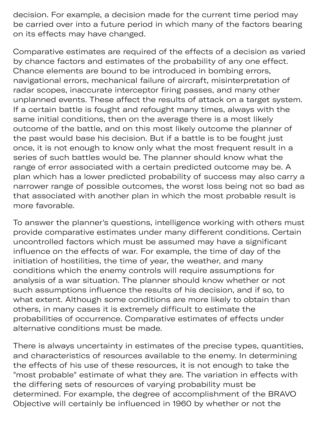decision. For example, a decision made for the current time period may be carried over into a future period in which many of the factors bearing on its effects may have changed.

Comparative estimates are required of the effects of a decision as varied by chance factors and estimates of the probability of any one effect. Chance elements are bound to be introduced in bombing errors, navigational errors, mechanical failure of aircraft, misinterpretation of radar scopes, inaccurate interceptor firing passes, and many other unplanned events. These affect the results of attack on a target system. If a certain battle is fought and refought many times, always with the same initial conditions, then on the average there is a most likely outcome of the battle, and on this most likely outcome the planner of the past would base his decision. But if a battle is to be fought just once, it is not enough to know only what the most frequent result in a series of such battles would be. The planner should know what the range of error associated with a certain predicted outcome may be. A plan which has a lower predicted probability of success may also carry a narrower range of possible outcomes, the worst loss being not so bad as that associated with another plan in which the most probable result is more favorable.

To answer the planner's questions, intelligence working with others must provide comparative estimates under many different conditions. Certain uncontrolled factors which must be assumed may have a significant influence on the effects of war. For example, the time of day of the initiation of hostilities, the time of year, the weather, and many conditions which the enemy controls will require assumptions for analysis of a war situation. The planner should know whether or not such assumptions influence the results of his decision, and if so, to what extent. Although some conditions are more likely to obtain than others, in many cases it is extremely difficult to estimate the probabilities of occurrence. Comparative estimates of effects under alternative conditions must be made.

There is always uncertainty in estimates of the precise types, quantities, and characteristics of resources available to the enemy. In determining the effects of his use of these resources, it is not enough to take the "most probable" estimate of what they are. The variation in effects with the differing sets of resources of varying probability must be determined. For example, the degree of accomplishment of the BRAVO Objective will certainly be influenced in 1960 by whether or not the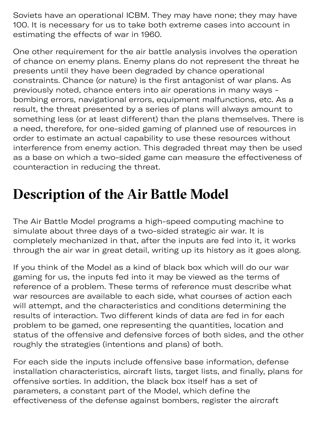Soviets have an operational ICBM. They may have none; they may have 100. It is necessary for us to take both extreme cases into account in estimating the effects of war in 1960.

One other requirement for the air battle analysis involves the operation of chance on enemy plans. Enemy plans do not represent the threat he presents until they have been degraded by chance operational constraints. Chance (or nature) is the first antagonist of war plans. As previously noted, chance enters into air operations in many ways bombing errors, navigational errors, equipment malfunctions, etc. As a result, the threat presented by a series of plans will always amount to something less (or at least different) than the plans themselves. There is a need, therefore, for one-sided gaming of planned use of resources in order to estimate an actual capability to use these resources without interference from enemy action. This degraded threat may then be used as a base on which a two-sided game can measure the effectiveness of counteraction in reducing the threat.

# **Description of the Air Batle Model**

 $\mathcal{O}(\mathcal{O}_\mathcal{A})$  and  $\mathcal{O}(\mathcal{O}_\mathcal{A})$  and  $\mathcal{O}(\mathcal{O}_\mathcal{A})$  and  $\mathcal{O}(\mathcal{O}_\mathcal{A})$ 

The Air Battle Model programs a high-speed computing machine to simulate about three days of a two-sided strategic air war. It is completely mechanized in that, after the inputs are fed into it, it works through the air war in great detail, writing up its history as it goes along.

If you think of the Model as a kind of black box which will do our war gaming for us, the inputs fed into it may be viewed as the terms of reference of a problem. These terms of reference must describe what war resources are available to each side, what courses of action each will attempt, and the characteristics and conditions determining the results of interaction. Two different kinds of data are fed in for each problem to be gamed, one representing the quantities, location and status of the offensive and defensive forces of both sides, and the other roughly the strategies (intentions and plans) of both.

For each side the inputs include offensive base information, defense installation characteristics, aircraft lists, target lists, and finally, plans for offensive sorties. In addition, the black box itself has a set of parameters, a constant part of the Model, which define the effectiveness of the defense against bombers, register the aircraft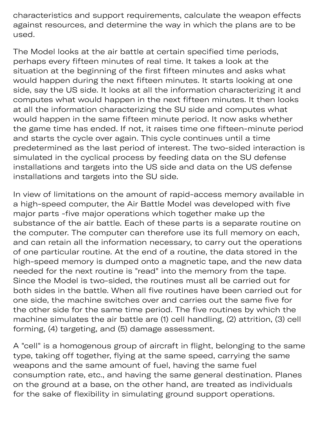characteristics and support requirements, calculate the weapon effects against resources, and determine the way in which the plans are to be used.

g gis

The Model looks at the air battle at certain specified time periods, perhaps every fifteen minutes of real time. It takes a look at the situation at the beginning of the first fifteen minutes and asks what would happen during the next fifteen minutes. It starts looking at one side, say the US side. It looks at all the information characterizing it and computes what would happen in the next fifteen minutes. It then looks at all the information characterizing the SU side and computes what would happen in the same fifteen minute period. It now asks whether the game time has ended. If not, it raises time one fifteen-minute period and starts the cycle over again. This cycle continues until a time predetermined as the last period of interest. The two-sided interaction is simulated in the cyclical process by feeding data on the SU defense installations and targets into the US side and data on the US defense installations and targets into the SU side.

In view of limitations on the amount of rapid-access memory available in a high-speed computer, the Air Battle Model was developed with five major parts -five major operations which together make up the substance of the air battle. Each of these parts is a separate routine on the computer. The computer can therefore use its full memory on each, and can retain all the information necessary, to carry out the operations of one particular routine. At the end of a routine, the data stored in the high-speed memory is dumped onto a magnetic tape, and the new data needed for the next routine is "read" into the memory from the tape. Since the Model is two-sided, the routines must all be carried out for both sides in the battle. When all five routines have been carried out for one side, the machine switches over and carries out the same five for the other side for the same time period. The five routines by which the machine simulates the air battle are (1) cell handling, (2) attrition, (3) cell forming, (4) targeting, and (5) damage assessment.

A "cell" is a homogenous group of aircraft in flight, belonging to the same type, taking off together, flying at the same speed, carrying the same weapons and the same amount of fuel, having the same fuel consumption rate, etc., and having the same general destination. Planes on the ground at a base, on the other hand, are treated as individuals for the sake of flexibility in simulating ground support operations.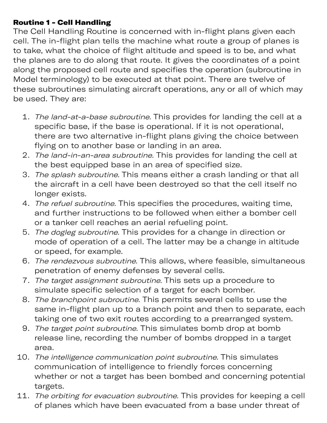### Routine 1 - Cell Handling

The Cell Handling Routine is concerned with in-flight plans given each cell. The in-flight plan tells the machine what route a group of planes is to take, what the choice of flight altitude and speed is to be, and what the planes are to do along that route. It gives the coordinates of a point along the proposed cell route and specifies the operation (subroutine in Model terminology) to be executed at that point. There are twelve of these subroutines simulating aircraft operations, any or all of which may be used. They are:

- 1. The land-at-a-base subroutine. This provides for landing the cell at a specific base, if the base is operational. If it is not operational, there are two alternative in-flight plans giving the choice between flying on to another base or landing in an area.
- 2. The land-in-an-area subroutine. This provides for landing the cell at the best equipped base in an area of specified size.
- 3. The splash subroutine. This means either a crash landing or that all the aircraft in a cell have been destroyed so that the cell itself no longer exists.
- 4. The refuel subroutine. This specifies the procedures, waiting time, and further instructions to be followed when either a bomber cell or a tanker cell reaches an aerial refueling point.
- 5. The dogleg subroutine. This provides for a change in direction or mode of operation of a cell. The latter may be a change in altitude or speed, for example.
- 6. The rendezvous subroutine. This allows, where feasible, simultaneous penetration of enemy defenses by several cells.
- 7. The target assignment subroutine. This sets up a procedure to simulate specific selection of a target for each bomber.
- 8. The branchpoint subroutine. This permits several cells to use the same in-flight plan up to a branch point and then to separate, each taking one of two exit routes according to a prearranged system.
- 9. The target point subroutine. This simulates bomb drop at bomb release line, recording the number of bombs dropped in a target area.
- 10. The intelligence communication point subroutine. This simulates communication of intelligence to friendly forces concerning whether or not a target has been bombed and concerning potential targets.
- 11. The orbiting for evacuation subroutine. This provides for keeping a cell of planes which have been evacuated from a base under threat of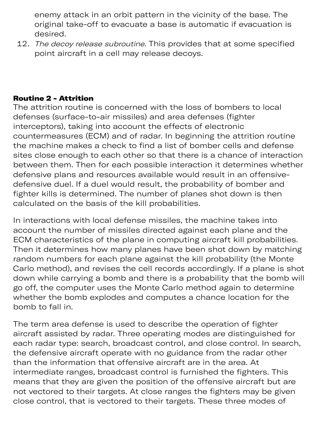enemy attack in an orbit pattern in the vicinity of the base. The original take-off to evacuate a base is automatic if evacuation is desired.

12. The decoy release subroutine. This provides that at some specified point aircraft in a cell may release decoys.

### Routine 2 - Attrition

The attrition routine is concerned with the loss of bombers to local defenses (surface-to-air missiles) and area defenses (fighter interceptors), taking into account the effects of electronic countermeasures (ECM) and of radar. In beginning the attrition routine the machine makes a check to find a list of bomber cells and defense sites close enough to each other so that there is a chance of interaction between them. Then for each possible interaction it determines whether defensive plans and resources available would result in an offensivedefensive duel. If a duel would result, the probability of bomber and fighter kills is determined. The number of planes shot down is then calculated on the basis of the kill probabilities.

In interactions with local defense missiles, the machine takes into account the number of missiles directed against each plane and the ECM characteristics of the plane in computing aircraft kill probabilities. Then it determines how many planes have been shot down by matching random numbers for each plane against the kill probability (the Monte Carlo method), and revises the cell records accordingly. If a plane is shot down while carrying a bomb and there is a probability that the bomb will go off, the computer uses the Monte Carlo method again to determine whether the bomb explodes and computes a chance location for the bomb to fall in.

The term area defense is used to describe the operation of fighter aircraft assisted by radar. Three operating modes are distinguished for each radar type: search, broadcast control, and close control. In search, the defensive aircraft operate with no guidance from the radar other than the information that offensive aircraft are in the area. At intermediate ranges, broadcast control is furnished the fighters. This means that they are given the position of the offensive aircraft but are not vectored to their targets. At close ranges the fighters may be given close control, that is vectored to their targets. These three modes of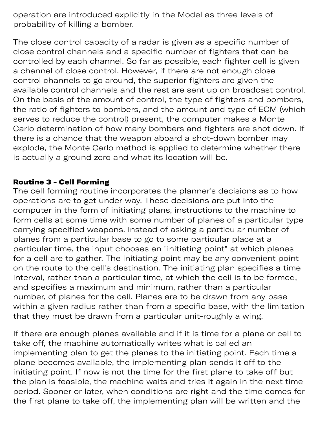operation are introduced explicitly in the Model as three levels of probability of killing a bomber.

The close control capacity of a radar is given as a specific number of close control channels and a specific number of fighters that can be controlled by each channel. So far as possible, each fighter cell is given a channel of close control. However, if there are not enough close control channels to go around, the superior fighters are given the available control channels and the rest are sent up on broadcast control. On the basis of the amount of control, the type of fighters and bombers, the ratio of fighters to bombers, and the amount and type of ECM (which serves to reduce the control) present, the computer makes a Monte Carlo determination of how many bombers and fighters are shot down. If there is a chance that the weapon aboard a shot-down bomber may explode, the Monte Carlo method is applied to determine whether there is actually a ground zero and what its location will be.

### Routine 3 - Cell Forming

The cell forming routine incorporates the planner's decisions as to how operations are to get under way. These decisions are put into the computer in the form of initiating plans, instructions to the machine to form cells at some time with some number of planes of a particular type carrying specified weapons. Instead of asking a particular number of planes from a particular base to go to some particular place at a particular time, the input chooses an "initiating point" at which planes for a cell are to gather. The initiating point may be any convenient point on the route to the cell's destination. The initiating plan specifies a time interval, rather than a particular time, at which the cell is to be formed, and specifies a maximum and minimum, rather than a particular number, of planes for the cell. Planes are to be drawn from any base within a given radius rather than from a specific base, with the limitation that they must be drawn from a particular unit-roughly a wing.

If there are enough planes available and if it is time for a plane or cell to take off, the machine automatically writes what is called an implementing plan to get the planes to the initiating point. Each time a plane becomes available, the implementing plan sends it off to the initiating point. If now is not the time for the first plane to take off but the plan is feasible, the machine waits and tries it again in the next time period. Sooner or later, when conditions are right and the time comes for the first plane to take off, the implementing plan will be written and the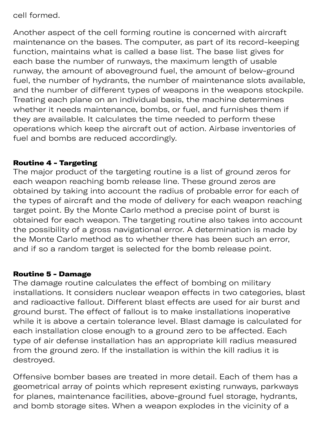cell formed.

Another aspect of the cell forming routine is concerned with aircraft maintenance on the bases. The computer, as part of its record-keeping function, maintains what is called a base list. The base list gives for each base the number of runways, the maximum length of usable runway, the amount of aboveground fuel, the amount of below-ground fuel, the number of hydrants, the number of maintenance slots available, and the number of different types of weapons in the weapons stockpile. Treating each plane on an individual basis, the machine determines whether it needs maintenance, bombs, or fuel, and furnishes them if they are available. It calculates the time needed to perform these operations which keep the aircraft out of action. Airbase inventories of fuel and bombs are reduced accordingly.

 $\mathbf{r}_\mathrm{p}$  because the plane of plane  $\mathbf{r}_\mathrm{p}$ 

### Routine 4 - Targeting

The major product of the targeting routine is a list of ground zeros for each weapon reaching bomb release line. These ground zeros are obtained by taking into account the radius of probable error for each of the types of aircraft and the mode of delivery for each weapon reaching target point. By the Monte Carlo method a precise point of burst is obtained for each weapon. The targeting routine also takes into account the possibility of a gross navigational error. A determination is made by the Monte Carlo method as to whether there has been such an error, and if so a random target is selected for the bomb release point.

#### Routine 5 - Damage

The damage routine calculates the effect of bombing on military installations. It considers nuclear weapon effects in two categories, blast and radioactive fallout. Different blast effects are used for air burst and ground burst. The effect of fallout is to make installations inoperative while it is above a certain tolerance level. Blast damage is calculated for each installation close enough to a ground zero to be affected. Each type of air defense installation has an appropriate kill radius measured from the ground zero. If the installation is within the kill radius it is destroyed.

Offensive bomber bases are treated in more detail. Each of them has a geometrical array of points which represent existing runways, parkways for planes, maintenance facilities, above-ground fuel storage, hydrants, and bomb storage sites. When a weapon explodes in the vicinity of a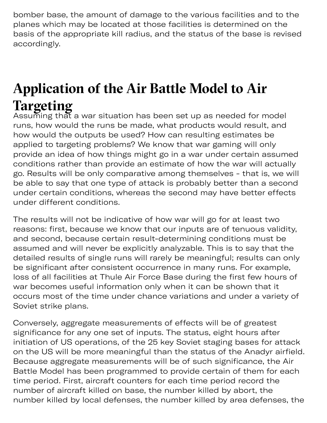bomber base, the amount of damage to the various facilities and to the planes which may be located at those facilities is determined on the basis of the appropriate kill radius, and the status of the base is revised accordingly.

# **Application of the Air Batle Model to Air Targeting**

Assuming that a war situation has been set up as needed for model runs, how would the runs be made, what products would result, and how would the outputs be used? How can resulting estimates be applied to targeting problems? We know that war gaming will only provide an idea of how things might go in a war under certain assumed conditions rather than provide an estimate of how the war will actually go. Results will be only comparative among themselves - that is, we will be able to say that one type of attack is probably better than a second under certain conditions, whereas the second may have better effects under different conditions.

The results will not be indicative of how war will go for at least two reasons: first, because we know that our inputs are of tenuous validity, and second, because certain result-determining conditions must be assumed and will never be explicitly analyzable. This is to say that the detailed results of single runs will rarely be meaningful; results can only be significant after consistent occurrence in many runs. For example, loss of all facilities at Thule Air Force Base during the first few hours of war becomes useful information only when it can be shown that it occurs most of the time under chance variations and under a variety of Soviet strike plans.

Conversely, aggregate measurements of effects will be of greatest significance for any one set of inputs. The status, eight hours after initiation of US operations, of the 25 key Soviet staging bases for attack on the US will be more meaningful than the status of the Anadyr airfield. Because aggregate measurements will be of such significance, the Air Battle Model has been programmed to provide certain of them for each time period. First, aircraft counters for each time period record the number of aircraft killed on base, the number killed by abort, the number killed by local defenses, the number killed by area defenses, the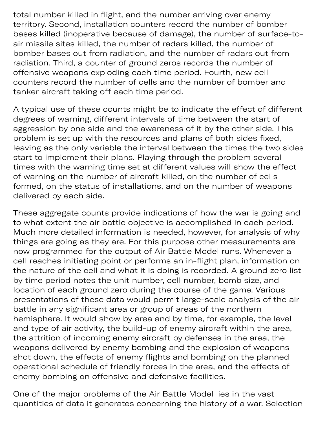total number killed in flight, and the number arriving over enemy territory. Second, installation counters record the number of bomber bases killed (inoperative because of damage), the number of surface-toair missile sites killed, the number of radars killed, the number of bomber bases out from radiation, and the number of radars out from radiation. Third, a counter of ground zeros records the number of offensive weapons exploding each time period. Fourth, new cell counters record the number of cells and the number of bomber and tanker aircraft taking off each time period.

A typical use of these counts might be to indicate the effect of different degrees of warning, different intervals of time between the start of aggression by one side and the awareness of it by the other side. This problem is set up with the resources and plans of both sides fixed, leaving as the only variable the interval between the times the two sides start to implement their plans. Playing through the problem several times with the warning time set at different values will show the effect of warning on the number of aircraft killed, on the number of cells formed, on the status of installations, and on the number of weapons delivered by each side.

These aggregate counts provide indications of how the war is going and to what extent the air battle objective is accomplished in each period. Much more detailed information is needed, however, for analysis of why things are going as they are. For this purpose other measurements are now programmed for the output of Air Battle Model runs. Whenever a cell reaches initiating point or performs an in-flight plan, information on the nature of the cell and what it is doing is recorded. A ground zero list by time period notes the unit number, cell number, bomb size, and location of each ground zero during the course of the game. Various presentations of these data would permit large-scale analysis of the air battle in any significant area or group of areas of the northern hemisphere. It would show by area and by time, for example, the level and type of air activity, the build-up of enemy aircraft within the area, the attrition of incoming enemy aircraft by defenses in the area, the weapons delivered by enemy bombing and the explosion of weapons shot down, the effects of enemy flights and bombing on the planned operational schedule of friendly forces in the area, and the effects of enemy bombing on offensive and defensive facilities.

One of the major problems of the Air Battle Model lies in the vast quantities of data it generates concerning the history of a war. Selection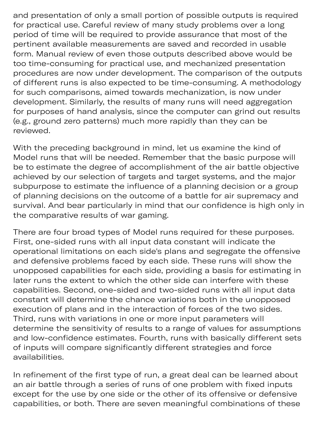and presentation of only a small portion of possible outputs is required for practical use. Careful review of many study problems over a long period of time will be required to provide assurance that most of the pertinent available measurements are saved and recorded in usable form. Manual review of even those outputs described above would be too time-consuming for practical use, and mechanized presentation procedures are now under development. The comparison of the outputs of different runs is also expected to be time-consuming. A methodology for such comparisons, aimed towards mechanization, is now under development. Similarly, the results of many runs will need aggregation for purposes of hand analysis, since the computer can grind out results (e.g., ground zero patterns) much more rapidly than they can be reviewed.

 $\mathcal{L}_{\mathcal{M}}$  is given by obtaining the interval  $\mathcal{L}_{\mathcal{M}}$  of  $\mathcal{L}_{\mathcal{M}}$ 

With the preceding background in mind, let us examine the kind of Model runs that will be needed. Remember that the basic purpose will be to estimate the degree of accomplishment of the air battle objective achieved by our selection of targets and target systems, and the major subpurpose to estimate the influence of a planning decision or a group of planning decisions on the outcome of a battle for air supremacy and survival. And bear particularly in mind that our confidence is high only in the comparative results of war gaming.

There are four broad types of Model runs required for these purposes. First, one-sided runs with all input data constant will indicate the operational limitations on each side's plans and segregate the offensive and defensive problems faced by each side. These runs will show the unopposed capabilities for each side, providing a basis for estimating in later runs the extent to which the other side can interfere with these capabilities. Second, one-sided and two-sided runs with all input data constant will determine the chance variations both in the unopposed execution of plans and in the interaction of forces of the two sides. Third, runs with variations in one or more input parameters will determine the sensitivity of results to a range of values for assumptions and low-confidence estimates. Fourth, runs with basically different sets of inputs will compare significantly different strategies and force availabilities.

In refinement of the first type of run, a great deal can be learned about an air battle through a series of runs of one problem with fixed inputs except for the use by one side or the other of its offensive or defensive capabilities, or both. There are seven meaningful combinations of these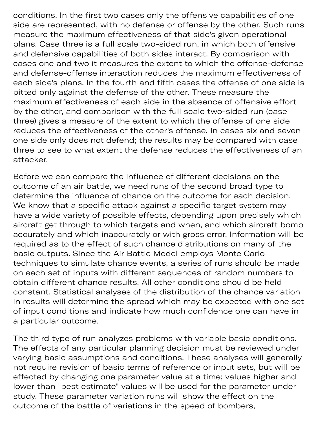conditions. In the first two cases only the offensive capabilities of one side are represented, with no defense or offense by the other. Such runs measure the maximum effectiveness of that side's given operational plans. Case three is a full scale two-sided run, in which both offensive and defensive capabilities of both sides interact. By comparison with cases one and two it measures the extent to which the offense-defense and defense-offense interaction reduces the maximum effectiveness of each side's plans. In the fourth and fifth cases the offense of one side is pitted only against the defense of the other. These measure the maximum effectiveness of each side in the absence of offensive effort by the other, and comparison with the full scale two-sided run (case three) gives a measure of the extent to which the offense of one side reduces the effectiveness of the other's offense. In cases six and seven one side only does not defend; the results may be compared with case three to see to what extent the defense reduces the effectiveness of an attacker.

p ning

Before we can compare the influence of different decisions on the outcome of an air battle, we need runs of the second broad type to determine the influence of chance on the outcome for each decision. We know that a specific attack against a specific target system may have a wide variety of possible effects, depending upon precisely which aircraft get through to which targets and when, and which aircraft bomb accurately and which inaccurately or with gross error. Information will be required as to the effect of such chance distributions on many of the basic outputs. Since the Air Battle Model employs Monte Carlo techniques to simulate chance events, a series of runs should be made on each set of inputs with different sequences of random numbers to obtain different chance results. All other conditions should be held constant. Statistical analyses of the distribution of the chance variation in results will determine the spread which may be expected with one set of input conditions and indicate how much confidence one can have in a particular outcome.

The third type of run analyzes problems with variable basic conditions. The effects of any particular planning decision must be reviewed under varying basic assumptions and conditions. These analyses will generally not require revision of basic terms of reference or input sets, but will be effected by changing one parameter value at a time; values higher and lower than "best estimate" values will be used for the parameter under study. These parameter variation runs will show the effect on the outcome of the battle of variations in the speed of bombers,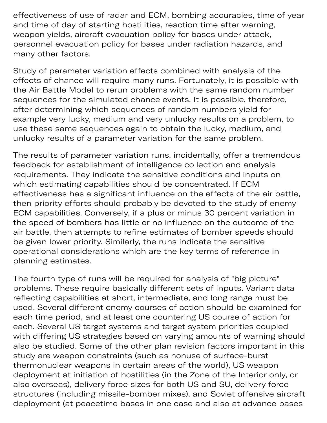effectiveness of use of radar and ECM, bombing accuracies, time of year and time of day of starting hostilities, reaction time after warning, weapon yields, aircraft evacuation policy for bases under attack, personnel evacuation policy for bases under radiation hazards, and many other factors.

e sp

Study of parameter variation effects combined with analysis of the effects of chance will require many runs. Fortunately, it is possible with the Air Battle Model to rerun problems with the same random number sequences for the simulated chance events. It is possible, therefore, after determining which sequences of random numbers yield for example very lucky, medium and very unlucky results on a problem, to use these same sequences again to obtain the lucky, medium, and unlucky results of a parameter variation for the same problem.

The results of parameter variation runs, incidentally, offer a tremendous feedback for establishment of intelligence collection and analysis requirements. They indicate the sensitive conditions and inputs on which estimating capabilities should be concentrated. If ECM effectiveness has a significant influence on the effects of the air battle, then priority efforts should probably be devoted to the study of enemy ECM capabilities. Conversely, if a plus or minus 30 percent variation in the speed of bombers has little or no influence on the outcome of the air battle, then attempts to refine estimates of bomber speeds should be given lower priority. Similarly, the runs indicate the sensitive operational considerations which are the key terms of reference in planning estimates.

The fourth type of runs will be required for analysis of "big picture" problems. These require basically different sets of inputs. Variant data reflecting capabilities at short, intermediate, and long range must be used. Several different enemy courses of action should be examined for each time period, and at least one countering US course of action for each. Several US target systems and target system priorities coupled with differing US strategies based on varying amounts of warning should also be studied. Some of the other plan revision factors important in this study are weapon constraints (such as nonuse of surface-burst thermonuclear weapons in certain areas of the world), US weapon deployment at initiation of hostilities (in the Zone of the Interior only, or also overseas), delivery force sizes for both US and SU, delivery force structures (including missile-bomber mixes), and Soviet offensive aircraft deployment (at peacetime bases in one case and also at advance bases